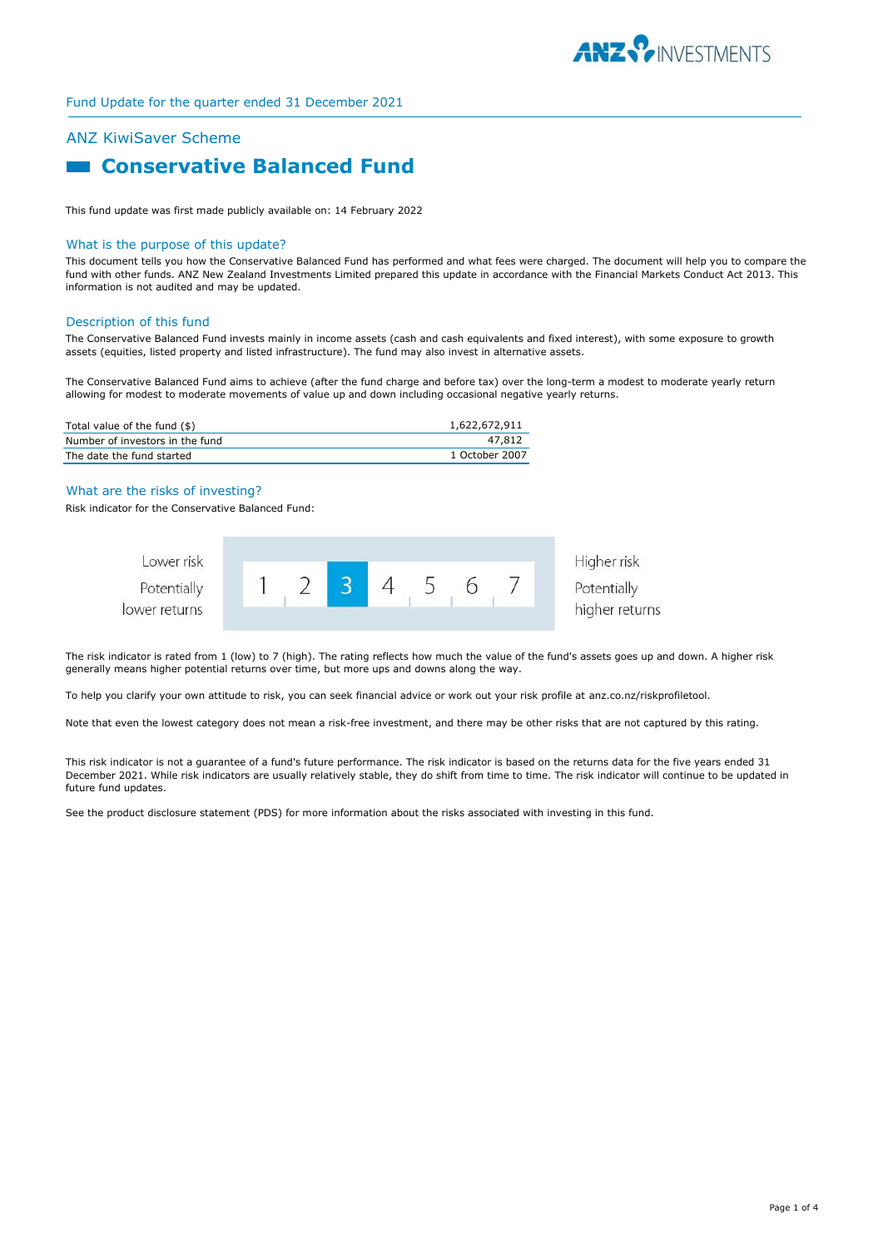

# ANZ KiwiSaver Scheme

# **Example 2 Conservative Balanced Fund**

This fund update was first made publicly available on: 14 February 2022

#### What is the purpose of this update?

This document tells you how the Conservative Balanced Fund has performed and what fees were charged. The document will help you to compare the fund with other funds. ANZ New Zealand Investments Limited prepared this update in accordance with the Financial Markets Conduct Act 2013. This information is not audited and may be updated.

#### Description of this fund

The Conservative Balanced Fund invests mainly in income assets (cash and cash equivalents and fixed interest), with some exposure to growth assets (equities, listed property and listed infrastructure). The fund may also invest in alternative assets.

The Conservative Balanced Fund aims to achieve (after the fund charge and before tax) over the long-term a modest to moderate yearly return allowing for modest to moderate movements of value up and down including occasional negative yearly returns.

| Total value of the fund (\$)    | 1,622,672,911  |
|---------------------------------|----------------|
| Number of investors in the fund | 47.812         |
| The date the fund started       | 1 October 2007 |

#### What are the risks of investing?

Risk indicator for the Conservative Balanced Fund:



The risk indicator is rated from 1 (low) to 7 (high). The rating reflects how much the value of the fund's assets goes up and down. A higher risk generally means higher potential returns over time, but more ups and downs along the way.

To help you clarify your own attitude to risk, you can seek financial advice or work out your risk profile at anz.co.nz/riskprofiletool.

Note that even the lowest category does not mean a risk-free investment, and there may be other risks that are not captured by this rating.

This risk indicator is not a guarantee of a fund's future performance. The risk indicator is based on the returns data for the five years ended 31 December 2021. While risk indicators are usually relatively stable, they do shift from time to time. The risk indicator will continue to be updated in future fund updates.

See the product disclosure statement (PDS) for more information about the risks associated with investing in this fund.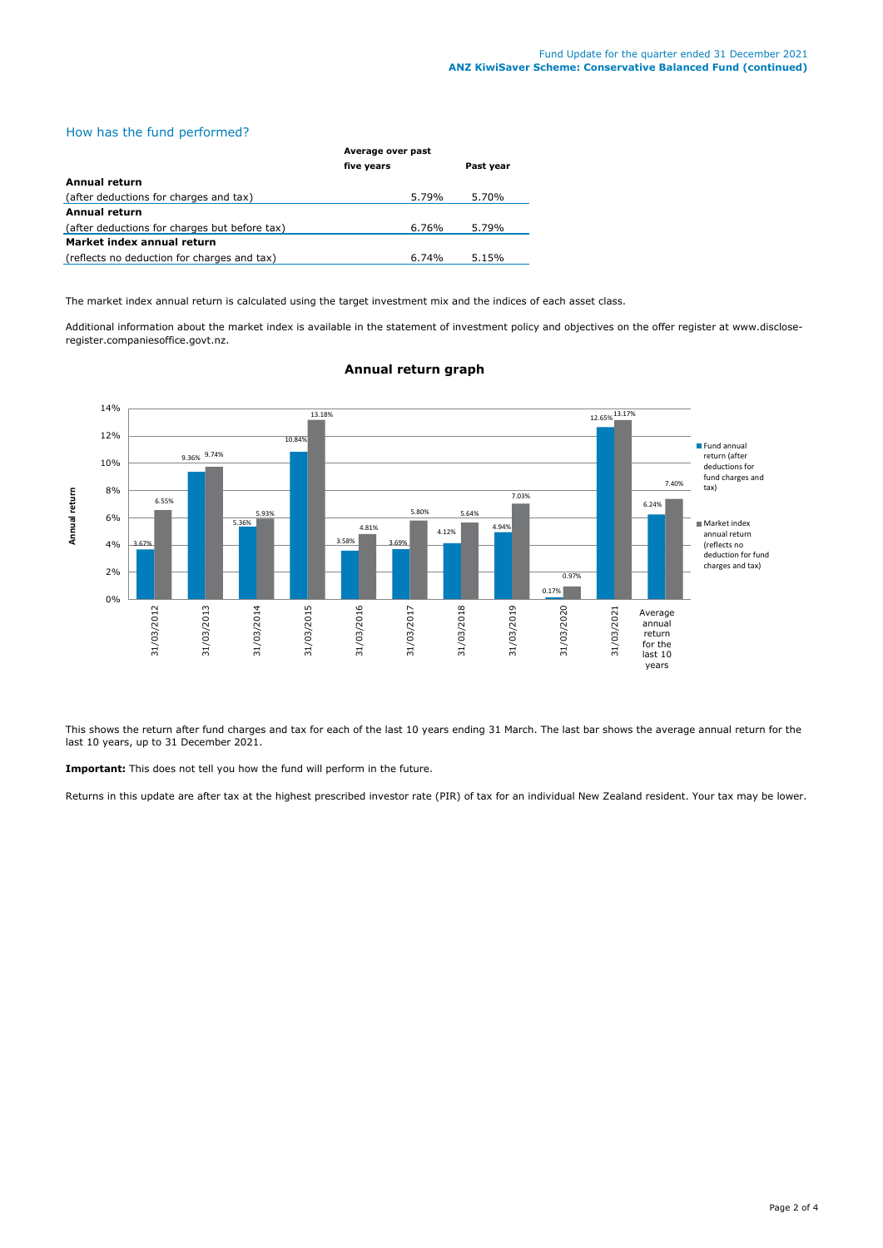# How has the fund performed?

|                                               | Average over past |                   |  |
|-----------------------------------------------|-------------------|-------------------|--|
|                                               | five years        | Past year         |  |
| Annual return                                 |                   |                   |  |
| (after deductions for charges and tax)        |                   | 5.70%<br>5.79%    |  |
| <b>Annual return</b>                          |                   |                   |  |
| (after deductions for charges but before tax) |                   | 5.79%<br>6.76%    |  |
| Market index annual return                    |                   |                   |  |
| (reflects no deduction for charges and tax)   |                   | 5.15%<br>$6.74\%$ |  |

The market index annual return is calculated using the target investment mix and the indices of each asset class.

Additional information about the market index is available in the statement of investment policy and objectives on the offer register at www.discloseregister.companiesoffice.govt.nz.



## **Annual return graph**

This shows the return after fund charges and tax for each of the last 10 years ending 31 March. The last bar shows the average annual return for the last 10 years, up to 31 December 2021.

**Important:** This does not tell you how the fund will perform in the future.

Returns in this update are after tax at the highest prescribed investor rate (PIR) of tax for an individual New Zealand resident. Your tax may be lower.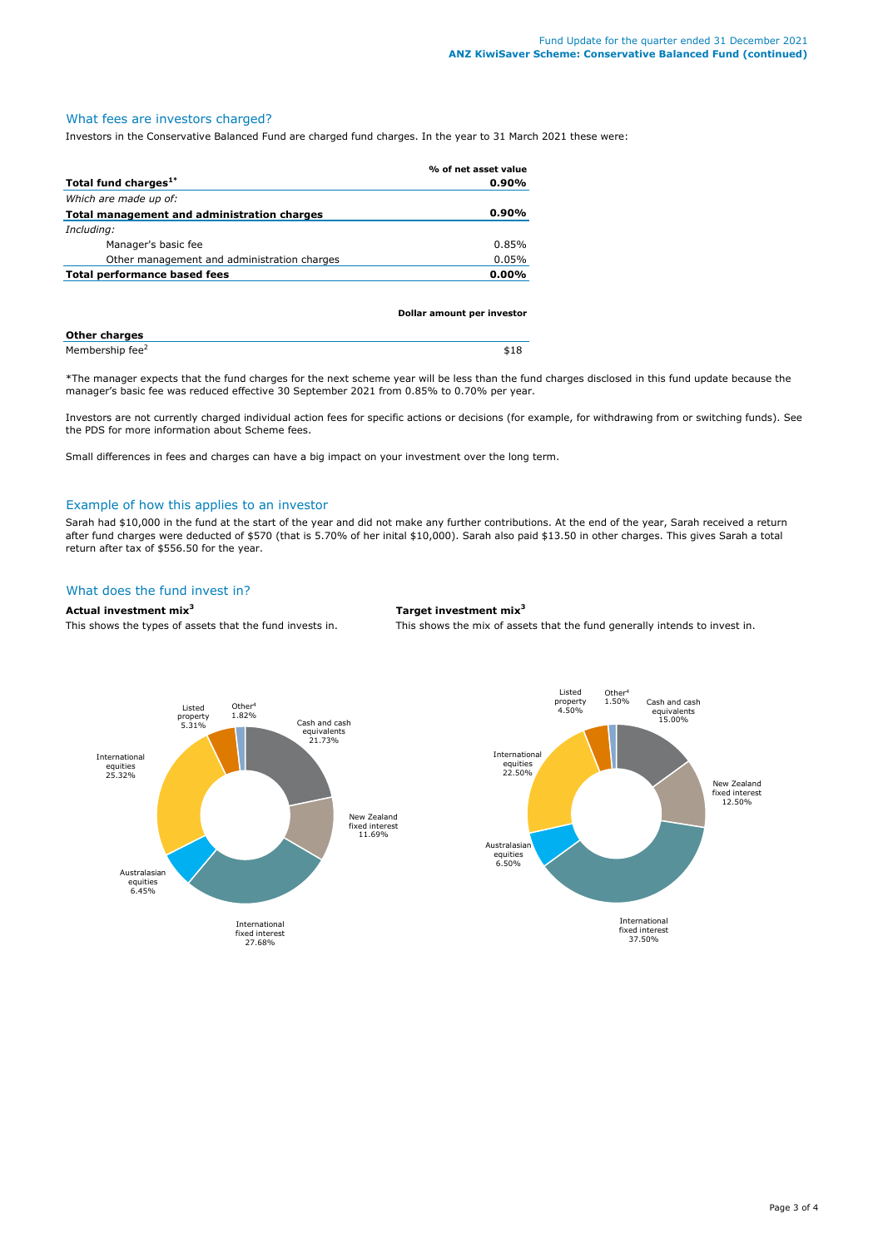## What fees are investors charged?

Investors in the Conservative Balanced Fund are charged fund charges. In the year to 31 March 2021 these were:

|                                             | % of net asset value |
|---------------------------------------------|----------------------|
| Total fund charges <sup>1*</sup>            | $0.90\%$             |
| Which are made up of:                       |                      |
| Total management and administration charges | $0.90\%$             |
| Including:                                  |                      |
| Manager's basic fee                         | 0.85%                |
| Other management and administration charges | 0.05%                |
| <b>Total performance based fees</b>         | $0.00\%$             |
|                                             |                      |

|                             | Dollar amount per investor |
|-----------------------------|----------------------------|
| <b>Other charges</b>        |                            |
| Membership fee <sup>2</sup> | \$18                       |

\*The manager expects that the fund charges for the next scheme year will be less than the fund charges disclosed in this fund update because the manager's basic fee was reduced effective 30 September 2021 from 0.85% to 0.70% per year.

Investors are not currently charged individual action fees for specific actions or decisions (for example, for withdrawing from or switching funds). See the PDS for more information about Scheme fees.

Small differences in fees and charges can have a big impact on your investment over the long term.

### Example of how this applies to an investor

Sarah had \$10,000 in the fund at the start of the year and did not make any further contributions. At the end of the year, Sarah received a return after fund charges were deducted of \$570 (that is 5.70% of her inital \$10,000). Sarah also paid \$13.50 in other charges. This gives Sarah a total return after tax of \$556.50 for the year.

# What does the fund invest in?

#### **Actual investment mix<sup>3</sup> Target investment mix<sup>3</sup>**

This shows the types of assets that the fund invests in. This shows the mix of assets that the fund generally intends to invest in.